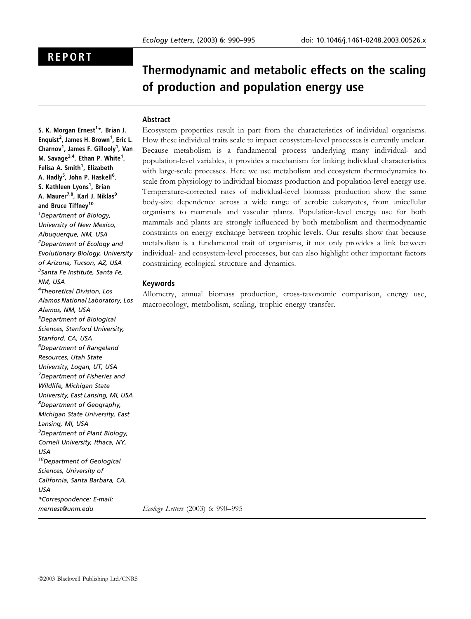# REPORT

# Thermodynamic and metabolic effects on the scaling of production and population energy use

#### Abstract

S. K. Morgan Ernest<sup>1</sup>\*, Brian J. Enquist<sup>2</sup>, James H. Brown<sup>1</sup>, Eric L. Charnov<sup>1</sup>, James F. Gillooly<sup>1</sup>, Van M. Savage<sup>3,4</sup>, Ethan P. White<sup>1</sup>, Felisa A. Smith<sup>1</sup>, Elizabeth A. Hadly<sup>5</sup>, John P. Haskell<sup>6</sup>, S. Kathleen Lyons<sup>1</sup>, Brian A. Maurer<sup>7,8</sup>, Karl J. Niklas<sup>9</sup> and Bruce Tiffney<sup>10</sup> <sup>1</sup>Department of Biology, University of New Mexico, Albuquerque, NM, USA <sup>2</sup>Department of Ecology and Evolutionary Biology, University of Arizona, Tucson, AZ, USA <sup>3</sup>Santa Fe Institute, Santa Fe, NM, USA 4 Theoretical Division, Los Alamos National Laboratory, Los Alamos, NM, USA 5 Department of Biological Sciences, Stanford University, Stanford, CA, USA 6 Department of Rangeland Resources, Utah State University, Logan, UT, USA <sup>7</sup>Department of Fisheries and Wildlife, Michigan State University, East Lansing, MI, USA 8 Department of Geography, Michigan State University, East Lansing, MI, USA <sup>9</sup>Department of Plant Biology, Cornell University, Ithaca, NY, USA <sup>10</sup>Department of Geological Sciences, University of California, Santa Barbara, CA, USA \*Correspondence: E-mail: mernest@unm.edu

Ecosystem properties result in part from the characteristics of individual organisms. How these individual traits scale to impact ecosystem-level processes is currently unclear. Because metabolism is a fundamental process underlying many individual- and population-level variables, it provides a mechanism for linking individual characteristics with large-scale processes. Here we use metabolism and ecosystem thermodynamics to scale from physiology to individual biomass production and population-level energy use. Temperature-corrected rates of individual-level biomass production show the same body-size dependence across a wide range of aerobic eukaryotes, from unicellular organisms to mammals and vascular plants. Population-level energy use for both mammals and plants are strongly influenced by both metabolism and thermodynamic constraints on energy exchange between trophic levels. Our results show that because metabolism is a fundamental trait of organisms, it not only provides a link between individual- and ecosystem-level processes, but can also highlight other important factors constraining ecological structure and dynamics.

#### Keywords

Allometry, annual biomass production, cross-taxonomic comparison, energy use, macroecology, metabolism, scaling, trophic energy transfer.

Ecology Letters (2003) 6: 990–995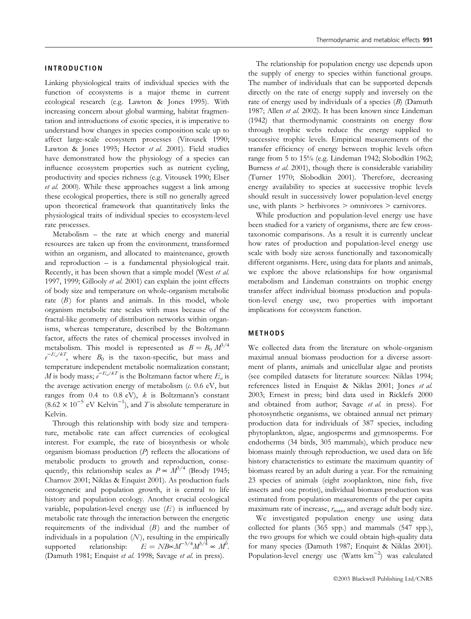# INTRODUCTION

Linking physiological traits of individual species with the function of ecosystems is a major theme in current ecological research (e.g. Lawton & Jones 1995). With increasing concern about global warming, habitat fragmentation and introductions of exotic species, it is imperative to understand how changes in species composition scale up to affect large-scale ecosystem processes (Vitousek 1990; Lawton & Jones 1995; Hector et al. 2001). Field studies have demonstrated how the physiology of a species can influence ecosystem properties such as nutrient cycling, productivity and species richness (e.g. Vitousek 1990; Elser et al. 2000). While these approaches suggest a link among these ecological properties, there is still no generally agreed upon theoretical framework that quantitatively links the physiological traits of individual species to ecosystem-level rate processes.

Metabolism – the rate at which energy and material resources are taken up from the environment, transformed within an organism, and allocated to maintenance, growth and reproduction – is a fundamental physiological trait. Recently, it has been shown that a simple model (West et al. 1997, 1999; Gillooly et al. 2001) can explain the joint effects of body size and temperature on whole-organism metabolic rate  $(B)$  for plants and animals. In this model, whole organism metabolic rate scales with mass because of the fractal-like geometry of distribution networks within organisms, whereas temperature, described by the Boltzmann factor, affects the rates of chemical processes involved in metabolism. This model is represented as  $B = B_0 M^{3/4}$  $e^{-E_a/kT}$ , where  $B_0$  is the taxon-specific, but mass and temperature independent metabolic normalization constant; *M* is body mass;  $e^{-E_a/kT}$  is the Boltzmann factor where  $E_a$  is the average activation energy of metabolism  $(c. 0.6 \text{ eV}, \text{ but}$ ranges from 0.4 to 0.8 eV),  $k$  is Boltzmann's constant  $(8.62 \times 10^{-5} \text{ eV} \text{ Kelvin}^{-1})$ , and *T* is absolute temperature in Kelvin.

Through this relationship with body size and temperature, metabolic rate can affect currencies of ecological interest. For example, the rate of biosynthesis or whole organism biomass production (P) reflects the allocations of metabolic products to growth and reproduction, consequently, this relationship scales as  $P \propto M^{3/4}$  (Brody 1945; Charnov 2001; Niklas & Enquist 2001). As production fuels ontogenetic and population growth, it is central to life history and population ecology. Another crucial ecological variable, population-level energy use  $(E)$  is influenced by metabolic rate through the interaction between the energetic requirements of the individual  $(B)$  and the number of individuals in a population  $(N)$ , resulting in the empirically supported relationship:  $E = NB \propto M^{-3/4} M^{3/4} \propto M^0$ . (Damuth 1981; Enquist et al. 1998; Savage et al. in press).

The relationship for population energy use depends upon the supply of energy to species within functional groups. The number of individuals that can be supported depends directly on the rate of energy supply and inversely on the rate of energy used by individuals of a species  $(B)$  (Damuth 1987; Allen et al. 2002). It has been known since Lindeman (1942) that thermodynamic constraints on energy flow through trophic webs reduce the energy supplied to successive trophic levels. Empirical measurements of the transfer efficiency of energy between trophic levels often range from 5 to 15% (e.g. Lindeman 1942; Slobodkin 1962; Burness et al. 2001), though there is considerable variability (Turner 1970; Slobodkin 2001). Therefore, decreasing energy availability to species at successive trophic levels should result in successively lower population-level energy use, with plants > herbivores > omnivores > carnivores.

While production and population-level energy use have been studied for a variety of organisms, there are few crosstaxonomic comparisons. As a result it is currently unclear how rates of production and population-level energy use scale with body size across functionally and taxonomically different organisms. Here, using data for plants and animals, we explore the above relationships for how organismal metabolism and Lindeman constraints on trophic energy transfer affect individual biomass production and population-level energy use, two properties with important implications for ecosystem function.

#### METHODS

We collected data from the literature on whole-organism maximal annual biomass production for a diverse assortment of plants, animals and unicellular algae and protists (see compiled datasets for literature sources: Niklas 1994; references listed in Enquist & Niklas 2001; Jones et al. 2003; Ernest in press; bird data used in Ricklefs 2000 and obtained from author; Savage et al. in press). For photosynthetic organisms, we obtained annual net primary production data for individuals of 387 species, including phytoplankton, algae, angiosperms and gymnosperms. For endotherms (34 birds, 305 mammals), which produce new biomass mainly through reproduction, we used data on life history characteristics to estimate the maximum quantity of biomass reared by an adult during a year. For the remaining 23 species of animals (eight zooplankton, nine fish, five insects and one protist), individual biomass production was estimated from population measurements of the per capita maximum rate of increase,  $r_{\text{max}}$ , and average adult body size.

We investigated population energy use using data collected for plants (365 spp.) and mammals (547 spp.), the two groups for which we could obtain high-quality data for many species (Damuth 1987; Enquist & Niklas 2001). Population-level energy use (Watts km<sup>-2</sup>) was calculated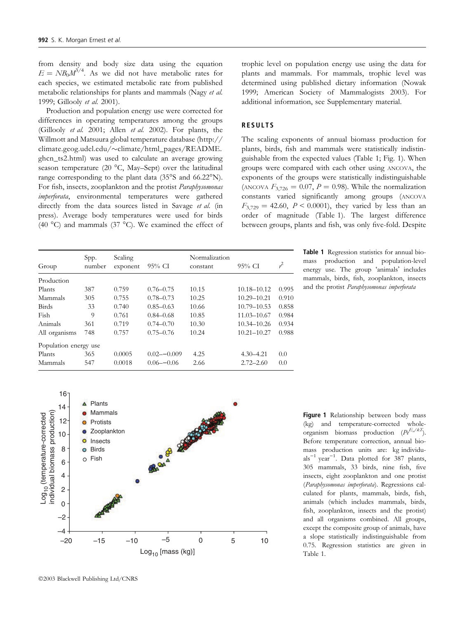from density and body size data using the equation  $E = NB_0M^{3/4}$ . As we did not have metabolic rates for each species, we estimated metabolic rate from published metabolic relationships for plants and mammals (Nagy et al. 1999; Gillooly et al. 2001).

Production and population energy use were corrected for differences in operating temperatures among the groups (Gillooly et al. 2001; Allen et al. 2002). For plants, the Willmott and Matsuura global temperature database (http:// climate.geog.udel.edu/-climate/html\_pages/README. ghcn\_ts2.html) was used to calculate an average growing season temperature (20  $^{\circ}$ C, May–Sept) over the latitudinal range corresponding to the plant data  $(35^{\circ}S \text{ and } 66.22^{\circ}N)$ . For fish, insects, zooplankton and the protist Paraphysomonas imperforata, environmental temperatures were gathered directly from the data sources listed in Savage et al. (in press). Average body temperatures were used for birds (40 °C) and mammals (37 °C). We examined the effect of trophic level on population energy use using the data for plants and mammals. For mammals, trophic level was determined using published dietary information (Nowak 1999; American Society of Mammalogists 2003). For additional information, see Supplementary material.

# RESULTS

The scaling exponents of annual biomass production for plants, birds, fish and mammals were statistically indistinguishable from the expected values (Table 1; Fig. 1). When groups were compared with each other using ANCOVA, the exponents of the groups were statistically indistinguishable (ANCOVA  $F_{3,726} = 0.07$ ,  $P = 0.98$ ). While the normalization constants varied significantly among groups (ANCOVA  $F_{3,729} = 42.60, P \le 0.0001$ , they varied by less than an order of magnitude (Table 1). The largest difference between groups, plants and fish, was only five-fold. Despite

| Group                 | Spp.<br>number | Scaling<br>exponent | $95\%$ CI      | Normalization<br>constant | $95%$ CI        | $r^2$ |
|-----------------------|----------------|---------------------|----------------|---------------------------|-----------------|-------|
| Production            |                |                     |                |                           |                 |       |
| Plants                | 387            | 0.759               | $0.76 - 0.75$  | 10.15                     | $10.18 - 10.12$ | 0.995 |
| Mammals               | 305            | 0.755               | $0.78 - 0.73$  | 10.25                     | $10.29 - 10.21$ | 0.910 |
| <b>Birds</b>          | 33             | 0.740               | $0.85 - 0.63$  | 10.66                     | 10.79-10.53     | 0.858 |
| Fish                  | 9              | 0.761               | $0.84 - 0.68$  | 10.85                     | $11.03 - 10.67$ | 0.984 |
| Animals               | 361            | 0.719               | $0.74 - 0.70$  | 10.30                     | $10.34 - 10.26$ | 0.934 |
| All organisms         | 748            | 0.757               | $0.75 - 0.76$  | 10.24                     | $10.21 - 10.27$ | 0.988 |
| Population energy use |                |                     |                |                           |                 |       |
| Plants                | 365            | 0.0005              | $0.02 - 0.009$ | 4.25                      | $4.30 - 4.21$   | 0.0   |
| Mammals               | 547            | 0.0018              | $0.06 - 0.06$  | 2.66                      | $2.72 - 2.60$   | 0.0   |

Table 1 Regression statistics for annual biomass production and population-level energy use. The group 'animals' includes mammals, birds, fish, zooplankton, insects and the protist Paraphysomonas imperforata



Figure 1 Relationship between body mass (kg) and temperature-corrected wholeorganism biomass production  $(Pe^{E_a/kT})$ . Before temperature correction, annual biomass production units are: kg individu $als^{-1}$  year<sup>-1</sup>. Data plotted for 387 plants, 305 mammals, 33 birds, nine fish, five insects, eight zooplankton and one protist (Paraphysomonas imperforata). Regressions calculated for plants, mammals, birds, fish, animals (which includes mammals, birds, fish, zooplankton, insects and the protist) and all organisms combined. All groups, except the composite group of animals, have a slope statistically indistinguishable from 0.75. Regression statistics are given in Table 1.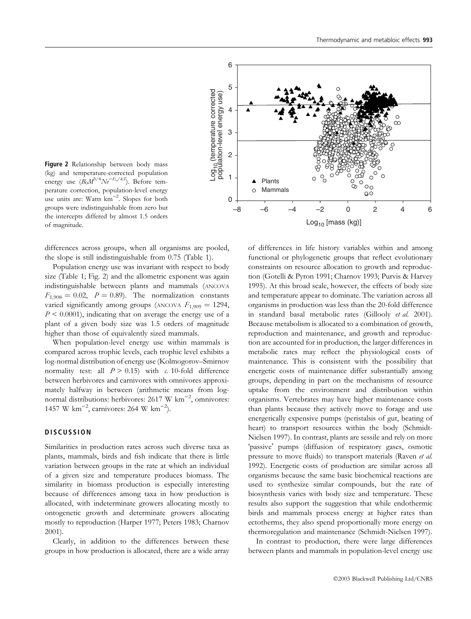

Figure 2 Relationship between body mass (kg) and temperature-corrected population energy use  $(B_0M^{3/4}Ne^{-E_a/kT})$ . Before temperature correction, population-level energy use units are: Watts  $km^{-2}$ . Slopes for both groups were indistinguishable from zero but the intercepts differed by almost 1.5 orders of magnitude.

differences across groups, when all organisms are pooled, the slope is still indistinguishable from 0.75 (Table 1).

Population energy use was invariant with respect to body size (Table 1; Fig. 2) and the allometric exponent was again indistinguishable between plants and mammals (ANCOVA  $F_{1,908} = 0.02$ ,  $P = 0.89$ . The normalization constants varied significantly among groups (ANCOVA  $F_{1,909} = 1294$ ,  $P < 0.0001$ ), indicating that on average the energy use of a plant of a given body size was 1.5 orders of magnitude higher than those of equivalently sized mammals.

When population-level energy use within mammals is compared across trophic levels, each trophic level exhibits a log-normal distribution of energy use (Kolmogorov–Smirnov normality test: all  $P > 0.15$ ) with c. 10-fold difference between herbivores and carnivores with omnivores approximately halfway in between (arithmetic means from lognormal distributions: herbivores: 2617 W  $\text{km}^{-2}$ , omnivores: 1457 W  $\text{km}^{-2}$ , carnivores: 264 W  $\text{km}^{-2}$ ).

#### **DISCUSSION**

Similarities in production rates across such diverse taxa as plants, mammals, birds and fish indicate that there is little variation between groups in the rate at which an individual of a given size and temperature produces biomass. The similarity in biomass production is especially interesting because of differences among taxa in how production is allocated, with indeterminate growers allocating mostly to ontogenetic growth and determinate growers allocating mostly to reproduction (Harper 1977; Peters 1983; Charnov 2001).

Clearly, in addition to the differences between these groups in how production is allocated, there are a wide array

of differences in life history variables within and among functional or phylogenetic groups that reflect evolutionary constraints on resource allocation to growth and reproduction (Gotelli & Pyron 1991; Charnov 1993; Purvis & Harvey 1995). At this broad scale, however, the effects of body size and temperature appear to dominate. The variation across all organisms in production was less than the 20-fold difference in standard basal metabolic rates (Gillooly et al. 2001). Because metabolism is allocated to a combination of growth, reproduction and maintenance, and growth and reproduction are accounted for in production, the larger differences in metabolic rates may reflect the physiological costs of maintenance. This is consistent with the possibility that energetic costs of maintenance differ substantially among groups, depending in part on the mechanisms of resource uptake from the environment and distribution within organisms. Vertebrates may have higher maintenance costs than plants because they actively move to forage and use energetically expensive pumps (peristalsis of gut, beating of heart) to transport resources within the body (Schmidt-Nielsen 1997). In contrast, plants are sessile and rely on more 'passive' pumps (diffusion of respiratory gases, osmotic pressure to move fluids) to transport materials (Raven et al. 1992). Energetic costs of production are similar across all organisms because the same basic biochemical reactions are used to synthesize similar compounds, but the rate of biosynthesis varies with body size and temperature. These results also support the suggestion that while endothermic birds and mammals process energy at higher rates than ectotherms, they also spend proportionally more energy on thermoregulation and maintenance (Schmidt-Nielsen 1997).

In contrast to production, there were large differences between plants and mammals in population-level energy use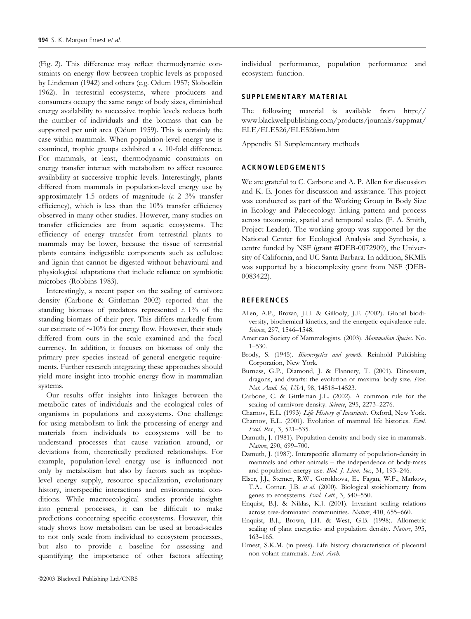(Fig. 2). This difference may reflect thermodynamic constraints on energy flow between trophic levels as proposed by Lindeman (1942) and others (e.g. Odum 1957; Slobodkin 1962). In terrestrial ecosystems, where producers and consumers occupy the same range of body sizes, diminished energy availability to successive trophic levels reduces both the number of individuals and the biomass that can be supported per unit area (Odum 1959). This is certainly the case within mammals. When population-level energy use is examined, trophic groups exhibited a c. 10-fold difference. For mammals, at least, thermodynamic constraints on energy transfer interact with metabolism to affect resource availability at successive trophic levels. Interestingly, plants differed from mammals in population-level energy use by approximately 1.5 orders of magnitude  $(c. 2-3\%$  transfer efficiency), which is less than the 10% transfer efficiency observed in many other studies. However, many studies on transfer efficiencies are from aquatic ecosystems. The efficiency of energy transfer from terrestrial plants to mammals may be lower, because the tissue of terrestrial plants contains indigestible components such as cellulose and lignin that cannot be digested without behavioural and physiological adaptations that include reliance on symbiotic microbes (Robbins 1983).

Interestingly, a recent paper on the scaling of carnivore density (Carbone & Gittleman 2002) reported that the standing biomass of predators represented  $c$ . 1% of the standing biomass of their prey. This differs markedly from our estimate of  $\sim$ 10% for energy flow. However, their study differed from ours in the scale examined and the focal currency. In addition, it focuses on biomass of only the primary prey species instead of general energetic requirements. Further research integrating these approaches should yield more insight into trophic energy flow in mammalian systems.

Our results offer insights into linkages between the metabolic rates of individuals and the ecological roles of organisms in populations and ecosystems. One challenge for using metabolism to link the processing of energy and materials from individuals to ecosystems will be to understand processes that cause variation around, or deviations from, theoretically predicted relationships. For example, population-level energy use is influenced not only by metabolism but also by factors such as trophiclevel energy supply, resource specialization, evolutionary history, interspecific interactions and environmental conditions. While macroecological studies provide insights into general processes, it can be difficult to make predictions concerning specific ecosystems. However, this study shows how metabolism can be used at broad-scales to not only scale from individual to ecosystem processes, but also to provide a baseline for assessing and quantifying the importance of other factors affecting

individual performance, population performance and ecosystem function.

#### SUPPLEMENTARY MATERIAL

The following material is available from http:// www.blackwellpublishing.com/products/journals/suppmat/ ELE/ELE526/ELE526sm.htm

Appendix S1 Supplementary methods

## ACKNOWLEDGEMENTS

We are grateful to C. Carbone and A. P. Allen for discussion and K. E. Jones for discussion and assistance. This project was conducted as part of the Working Group in Body Size in Ecology and Paleoecology: linking pattern and process across taxonomic, spatial and temporal scales (F. A. Smith, Project Leader). The working group was supported by the National Center for Ecological Analysis and Synthesis, a centre funded by NSF (grant #DEB-0072909), the University of California, and UC Santa Barbara. In addition, SKME was supported by a biocomplexity grant from NSF (DEB-0083422).

#### REFERENCES

- Allen, A.P., Brown, J.H. & Gillooly, J.F. (2002). Global biodiversity, biochemical kinetics, and the energetic-equivalence rule. Science, 297, 1546-1548.
- American Society of Mammalogists. (2003). Mammalian Species. No. 1–530.
- Brody, S. (1945). Bioenergetics and growth. Reinhold Publishing Corporation, New York.
- Burness, G.P., Diamond, J. & Flannery, T. (2001). Dinosaurs, dragons, and dwarfs: the evolution of maximal body size. Proc. Nat. Acad. Sci, USA, 98, 14518–14523.
- Carbone, C. & Gittleman J.L. (2002). A common rule for the scaling of carnivore density. Science, 295, 2273-2276.
- Charnov, E.L. (1993) Life History of Invariants. Oxford, New York.
- Charnov, E.L. (2001). Evolution of mammal life histories. Evol. Ecol. Res., 3, 521–535.
- Damuth, J. (1981). Population-density and body size in mammals. Nature, 290, 699–700.
- Damuth, J. (1987). Interspecific allometry of population-density in mammals and other animals – the independence of body-mass and population energy-use. Biol. J. Linn. Soc., 31, 193-246.
- Elser, J.J., Sterner, R.W., Gorokhova, E., Fagan, W.F., Markow, T.A., Cotner, J.B. et al. (2000). Biological stoichiometry from genes to ecosystems. Ecol. Lett., 3, 540-550.
- Enquist, B.J. & Niklas, K.J. (2001). Invariant scaling relations across tree-dominated communities. Nature, 410, 655–660.
- Enquist, B.J., Brown, J.H. & West, G.B. (1998). Allometric scaling of plant energetics and population density. Nature, 395, 163–165.
- Ernest, S.K.M. (in press). Life history characteristics of placental non-volant mammals. Ecol. Arch.